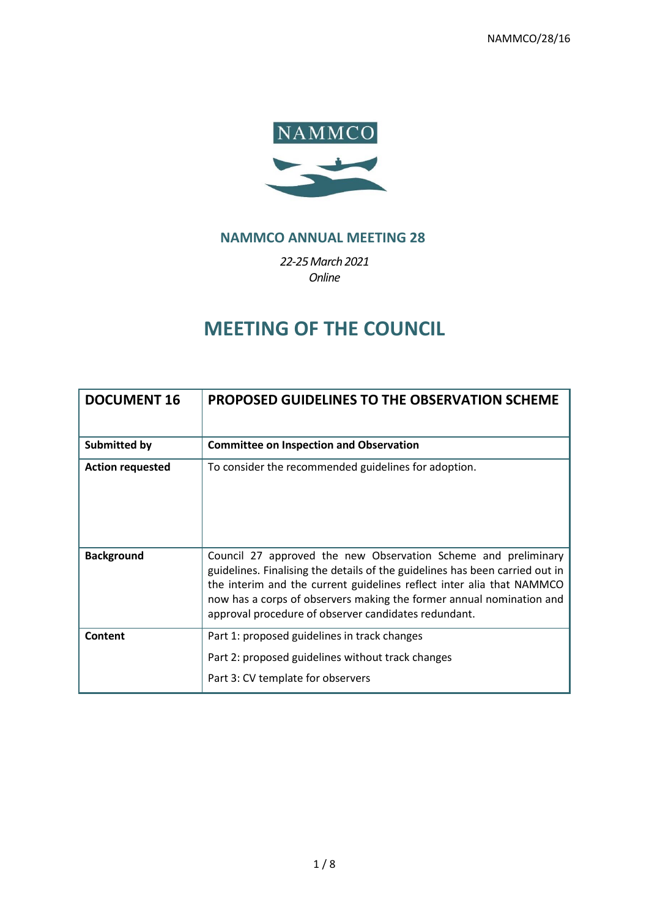

# **NAMMCO ANNUAL MEETING 28**

*22-25March 2021 Online*

# **MEETING OF THE COUNCIL**

| <b>DOCUMENT 16</b>      | <b>PROPOSED GUIDELINES TO THE OBSERVATION SCHEME</b>                                                                                                                                                                                                                                                                                                    |
|-------------------------|---------------------------------------------------------------------------------------------------------------------------------------------------------------------------------------------------------------------------------------------------------------------------------------------------------------------------------------------------------|
| <b>Submitted by</b>     | <b>Committee on Inspection and Observation</b>                                                                                                                                                                                                                                                                                                          |
| <b>Action requested</b> | To consider the recommended guidelines for adoption.                                                                                                                                                                                                                                                                                                    |
| <b>Background</b>       | Council 27 approved the new Observation Scheme and preliminary<br>guidelines. Finalising the details of the guidelines has been carried out in<br>the interim and the current guidelines reflect inter alia that NAMMCO<br>now has a corps of observers making the former annual nomination and<br>approval procedure of observer candidates redundant. |
| Content                 | Part 1: proposed guidelines in track changes<br>Part 2: proposed guidelines without track changes<br>Part 3: CV template for observers                                                                                                                                                                                                                  |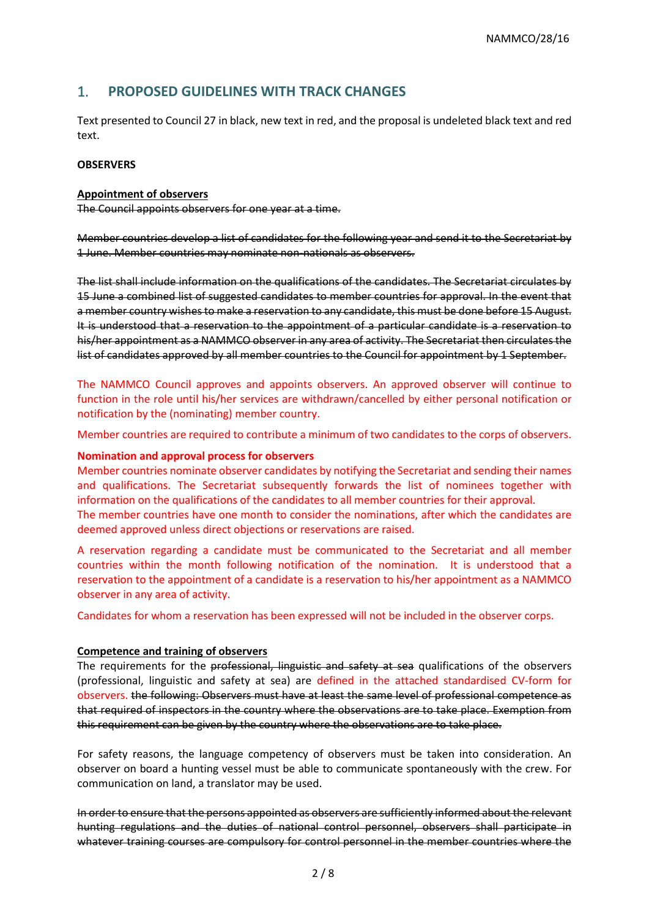# 1. **PROPOSED GUIDELINES WITH TRACK CHANGES**

Text presented to Council 27 in black, new text in red, and the proposal is undeleted black text and red text.

#### **OBSERVERS**

#### **Appointment of observers**

The Council appoints observers for one year at a time.

Member countries develop a list of candidates for the following year and send it to the Secretariat by 1 June. Member countries may nominate non-nationals as observers.

The list shall include information on the qualifications of the candidates. The Secretariat circulates by 15 June a combined list of suggested candidates to member countries for approval. In the event that a member country wishes to make a reservation to any candidate, this must be done before 15 August. It is understood that a reservation to the appointment of a particular candidate is a reservation to his/her appointment as a NAMMCO observer in any area of activity. The Secretariat then circulates the list of candidates approved by all member countries to the Council for appointment by 1 September.

The NAMMCO Council approves and appoints observers. An approved observer will continue to function in the role until his/her services are withdrawn/cancelled by either personal notification or notification by the (nominating) member country.

Member countries are required to contribute a minimum of two candidates to the corps of observers.

#### **Nomination and approval process for observers**

Member countries nominate observer candidates by notifying the Secretariat and sending their names and qualifications. The Secretariat subsequently forwards the list of nominees together with information on the qualifications of the candidates to all member countries for their approval.

The member countries have one month to consider the nominations, after which the candidates are deemed approved unless direct objections or reservations are raised.

A reservation regarding a candidate must be communicated to the Secretariat and all member countries within the month following notification of the nomination. It is understood that a reservation to the appointment of a candidate is a reservation to his/her appointment as a NAMMCO observer in any area of activity.

Candidates for whom a reservation has been expressed will not be included in the observer corps.

#### **Competence and training of observers**

The requirements for the professional, linguistic and safety at sea qualifications of the observers (professional, linguistic and safety at sea) are defined in the attached standardised CV-form for observers. the following: Observers must have at least the same level of professional competence as that required of inspectors in the country where the observations are to take place. Exemption from this requirement can be given by the country where the observations are to take place.

For safety reasons, the language competency of observers must be taken into consideration. An observer on board a hunting vessel must be able to communicate spontaneously with the crew. For communication on land, a translator may be used.

In order to ensure that the persons appointed as observers are sufficiently informed about the relevant hunting regulations and the duties of national control personnel, observers shall participate in whatever training courses are compulsory for control personnel in the member countries where the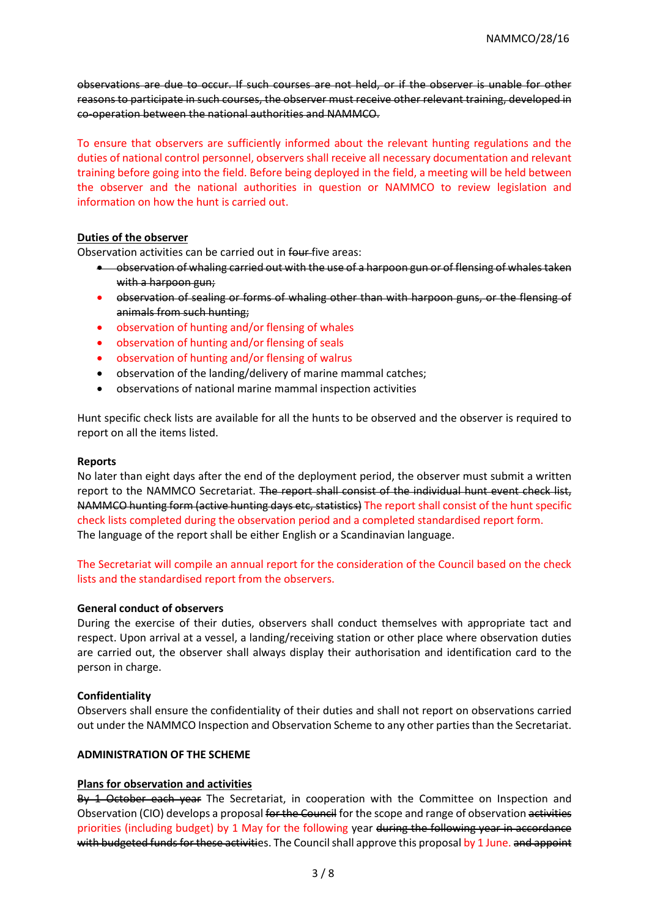observations are due to occur. If such courses are not held, or if the observer is unable for other reasons to participate in such courses, the observer must receive other relevant training, developed in co-operation between the national authorities and NAMMCO.

To ensure that observers are sufficiently informed about the relevant hunting regulations and the duties of national control personnel, observers shall receive all necessary documentation and relevant training before going into the field. Before being deployed in the field, a meeting will be held between the observer and the national authorities in question or NAMMCO to review legislation and information on how the hunt is carried out.

#### **Duties of the observer**

Observation activities can be carried out in four five areas:

- observation of whaling carried out with the use of a harpoon gun or of flensing of whales taken with a harpoon gun;
- observation of sealing or forms of whaling other than with harpoon guns, or the flensing of animals from such hunting;
- observation of hunting and/or flensing of whales
- observation of hunting and/or flensing of seals
- observation of hunting and/or flensing of walrus
- observation of the landing/delivery of marine mammal catches;
- observations of national marine mammal inspection activities

Hunt specific check lists are available for all the hunts to be observed and the observer is required to report on all the items listed.

#### **Reports**

No later than eight days after the end of the deployment period, the observer must submit a written report to the NAMMCO Secretariat. The report shall consist of the individual hunt event check list, NAMMCO hunting form (active hunting days etc, statistics) The report shall consist of the hunt specific check lists completed during the observation period and a completed standardised report form. The language of the report shall be either English or a Scandinavian language.

The Secretariat will compile an annual report for the consideration of the Council based on the check lists and the standardised report from the observers.

#### **General conduct of observers**

During the exercise of their duties, observers shall conduct themselves with appropriate tact and respect. Upon arrival at a vessel, a landing/receiving station or other place where observation duties are carried out, the observer shall always display their authorisation and identification card to the person in charge.

#### **Confidentiality**

Observers shall ensure the confidentiality of their duties and shall not report on observations carried out under the NAMMCO Inspection and Observation Scheme to any other parties than the Secretariat.

#### **ADMINISTRATION OF THE SCHEME**

#### **Plans for observation and activities**

By 1 October each year The Secretariat, in cooperation with the Committee on Inspection and Observation (CIO) develops a proposal for the Council for the scope and range of observation activities priorities (including budget) by 1 May for the following year during the following year in accordance with budgeted funds for these activities. The Council shall approve this proposal by 1 June. and appoint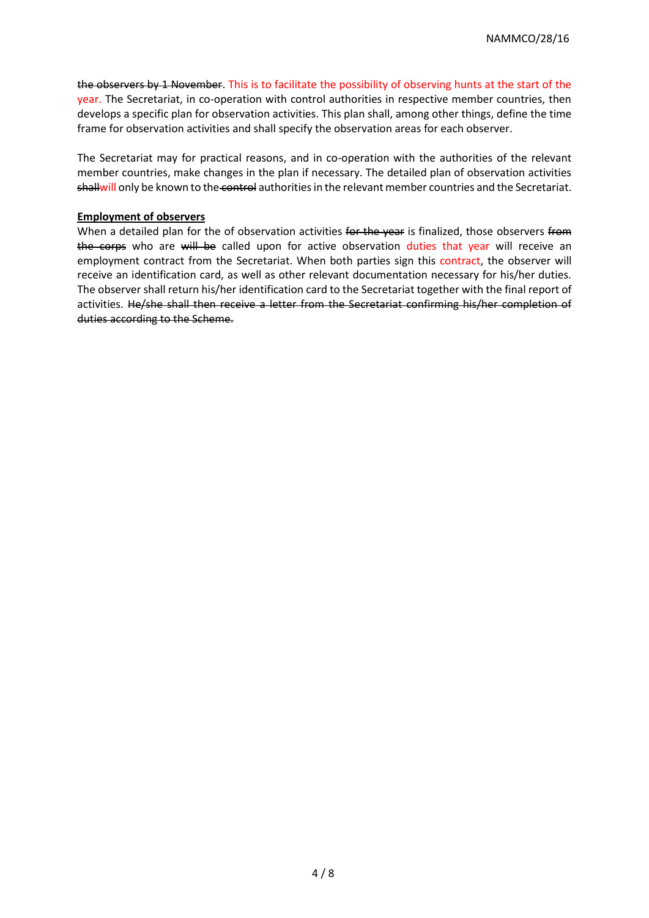the observers by 1 November. This is to facilitate the possibility of observing hunts at the start of the year. The Secretariat, in co-operation with control authorities in respective member countries, then develops a specific plan for observation activities. This plan shall, among other things, define the time frame for observation activities and shall specify the observation areas for each observer.

The Secretariat may for practical reasons, and in co-operation with the authorities of the relevant member countries, make changes in the plan if necessary. The detailed plan of observation activities shallwill only be known to the control authorities in the relevant member countries and the Secretariat.

#### **Employment of observers**

When a detailed plan for the of observation activities for the year is finalized, those observers from the corps who are will be called upon for active observation duties that year will receive an employment contract from the Secretariat. When both parties sign this contract, the observer will receive an identification card, as well as other relevant documentation necessary for his/her duties. The observer shall return his/her identification card to the Secretariat together with the final report of activities. He/she shall then receive a letter from the Secretariat confirming his/her completion of duties according to the Scheme.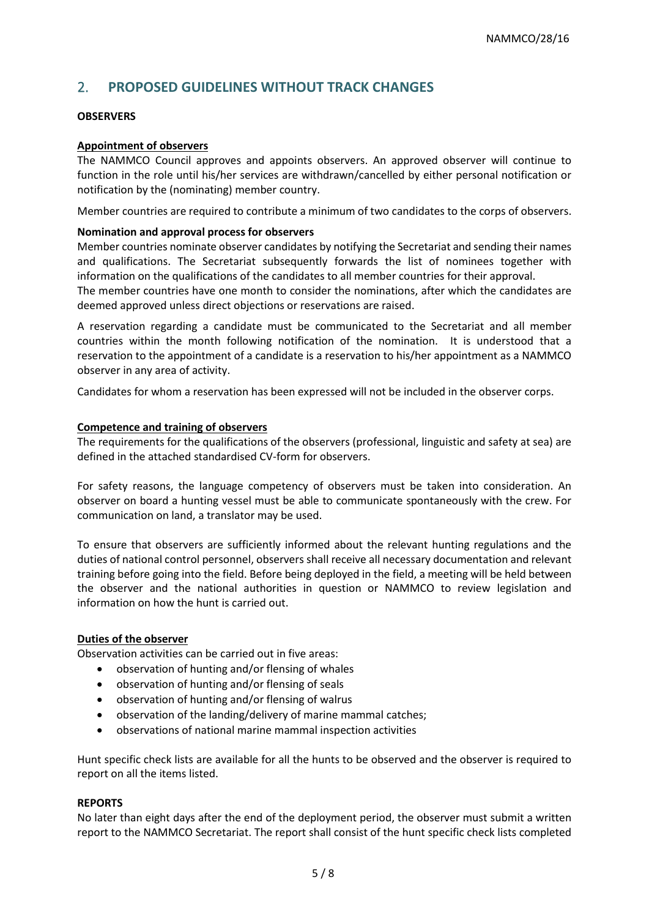# 2. **PROPOSED GUIDELINES WITHOUT TRACK CHANGES**

#### **OBSERVERS**

#### **Appointment of observers**

The NAMMCO Council approves and appoints observers. An approved observer will continue to function in the role until his/her services are withdrawn/cancelled by either personal notification or notification by the (nominating) member country.

Member countries are required to contribute a minimum of two candidates to the corps of observers.

#### **Nomination and approval process for observers**

Member countries nominate observer candidates by notifying the Secretariat and sending their names and qualifications. The Secretariat subsequently forwards the list of nominees together with information on the qualifications of the candidates to all member countries for their approval.

The member countries have one month to consider the nominations, after which the candidates are deemed approved unless direct objections or reservations are raised.

A reservation regarding a candidate must be communicated to the Secretariat and all member countries within the month following notification of the nomination. It is understood that a reservation to the appointment of a candidate is a reservation to his/her appointment as a NAMMCO observer in any area of activity.

Candidates for whom a reservation has been expressed will not be included in the observer corps.

#### **Competence and training of observers**

The requirements for the qualifications of the observers (professional, linguistic and safety at sea) are defined in the attached standardised CV-form for observers.

For safety reasons, the language competency of observers must be taken into consideration. An observer on board a hunting vessel must be able to communicate spontaneously with the crew. For communication on land, a translator may be used.

To ensure that observers are sufficiently informed about the relevant hunting regulations and the duties of national control personnel, observers shall receive all necessary documentation and relevant training before going into the field. Before being deployed in the field, a meeting will be held between the observer and the national authorities in question or NAMMCO to review legislation and information on how the hunt is carried out.

#### **Duties of the observer**

Observation activities can be carried out in five areas:

- observation of hunting and/or flensing of whales
- observation of hunting and/or flensing of seals
- observation of hunting and/or flensing of walrus
- observation of the landing/delivery of marine mammal catches;
- observations of national marine mammal inspection activities

Hunt specific check lists are available for all the hunts to be observed and the observer is required to report on all the items listed.

#### **REPORTS**

No later than eight days after the end of the deployment period, the observer must submit a written report to the NAMMCO Secretariat. The report shall consist of the hunt specific check lists completed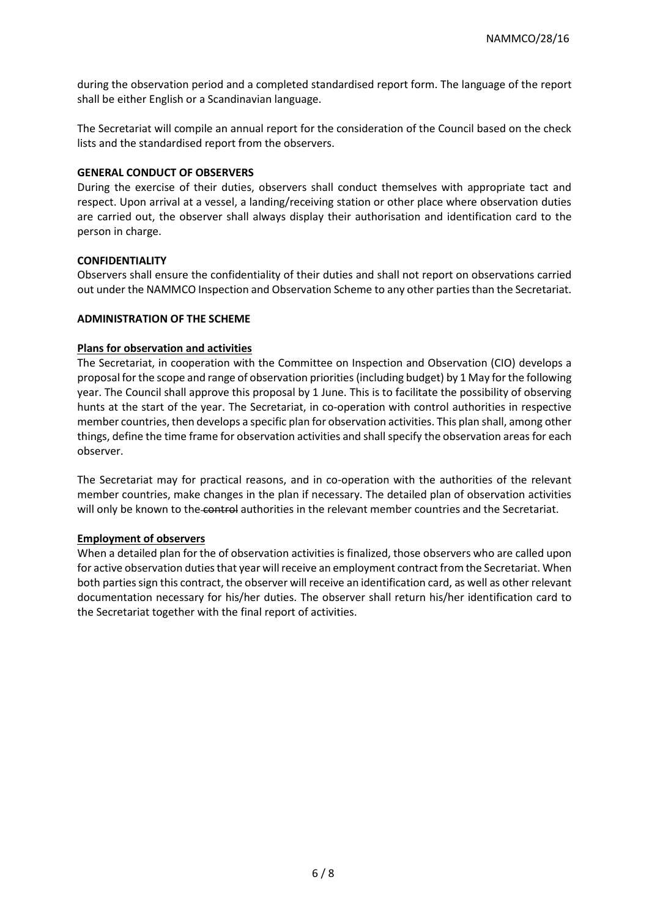during the observation period and a completed standardised report form. The language of the report shall be either English or a Scandinavian language.

The Secretariat will compile an annual report for the consideration of the Council based on the check lists and the standardised report from the observers.

#### **GENERAL CONDUCT OF OBSERVERS**

During the exercise of their duties, observers shall conduct themselves with appropriate tact and respect. Upon arrival at a vessel, a landing/receiving station or other place where observation duties are carried out, the observer shall always display their authorisation and identification card to the person in charge.

#### **CONFIDENTIALITY**

Observers shall ensure the confidentiality of their duties and shall not report on observations carried out under the NAMMCO Inspection and Observation Scheme to any other parties than the Secretariat.

#### **ADMINISTRATION OF THE SCHEME**

#### **Plans for observation and activities**

The Secretariat, in cooperation with the Committee on Inspection and Observation (CIO) develops a proposal for the scope and range of observation priorities (including budget) by 1 May for the following year. The Council shall approve this proposal by 1 June. This is to facilitate the possibility of observing hunts at the start of the year. The Secretariat, in co-operation with control authorities in respective member countries, then develops a specific plan for observation activities. This plan shall, among other things, define the time frame for observation activities and shall specify the observation areas for each observer.

The Secretariat may for practical reasons, and in co-operation with the authorities of the relevant member countries, make changes in the plan if necessary. The detailed plan of observation activities will only be known to the control authorities in the relevant member countries and the Secretariat.

#### **Employment of observers**

When a detailed plan for the of observation activities is finalized, those observers who are called upon for active observation duties that year will receive an employment contract from the Secretariat. When both parties sign this contract, the observer will receive an identification card, as well as other relevant documentation necessary for his/her duties. The observer shall return his/her identification card to the Secretariat together with the final report of activities.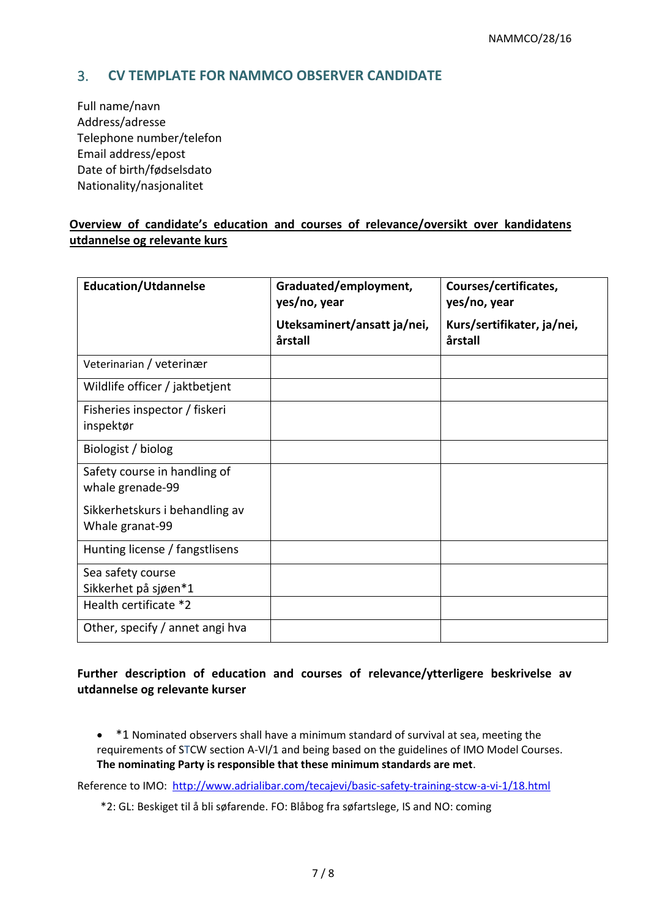# 3. **CV TEMPLATE FOR NAMMCO OBSERVER CANDIDATE**

Full name/navn Address/adresse Telephone number/telefon Email address/epost Date of birth/fødselsdato Nationality/nasjonalitet

### **Overview of candidate's education and courses of relevance/oversikt over kandidatens utdannelse og relevante kurs**

| <b>Education/Utdannelse</b>                       | Graduated/employment,<br>yes/no, year  | Courses/certificates,<br>yes/no, year |
|---------------------------------------------------|----------------------------------------|---------------------------------------|
|                                                   | Uteksaminert/ansatt ja/nei,<br>årstall | Kurs/sertifikater, ja/nei,<br>årstall |
| Veterinarian / veterinær                          |                                        |                                       |
| Wildlife officer / jaktbetjent                    |                                        |                                       |
| Fisheries inspector / fiskeri<br>inspektør        |                                        |                                       |
| Biologist / biolog                                |                                        |                                       |
| Safety course in handling of<br>whale grenade-99  |                                        |                                       |
| Sikkerhetskurs i behandling av<br>Whale granat-99 |                                        |                                       |
| Hunting license / fangstlisens                    |                                        |                                       |
| Sea safety course<br>Sikkerhet på sjøen*1         |                                        |                                       |
| Health certificate *2                             |                                        |                                       |
| Other, specify / annet angi hva                   |                                        |                                       |

# **Further description of education and courses of relevance/ytterligere beskrivelse av utdannelse og relevante kurser**

• \*1 Nominated observers shall have a minimum standard of survival at sea, meeting the requirements of STCW section A-VI/1 and being based on the guidelines of IMO Model Courses. **The nominating Party is responsible that these minimum standards are met**.

Reference to IMO: <http://www.adrialibar.com/tecajevi/basic-safety-training-stcw-a-vi-1/18.html>

\*2: GL: Beskiget til å bli søfarende. FO: Blåbog fra søfartslege, IS and NO: coming